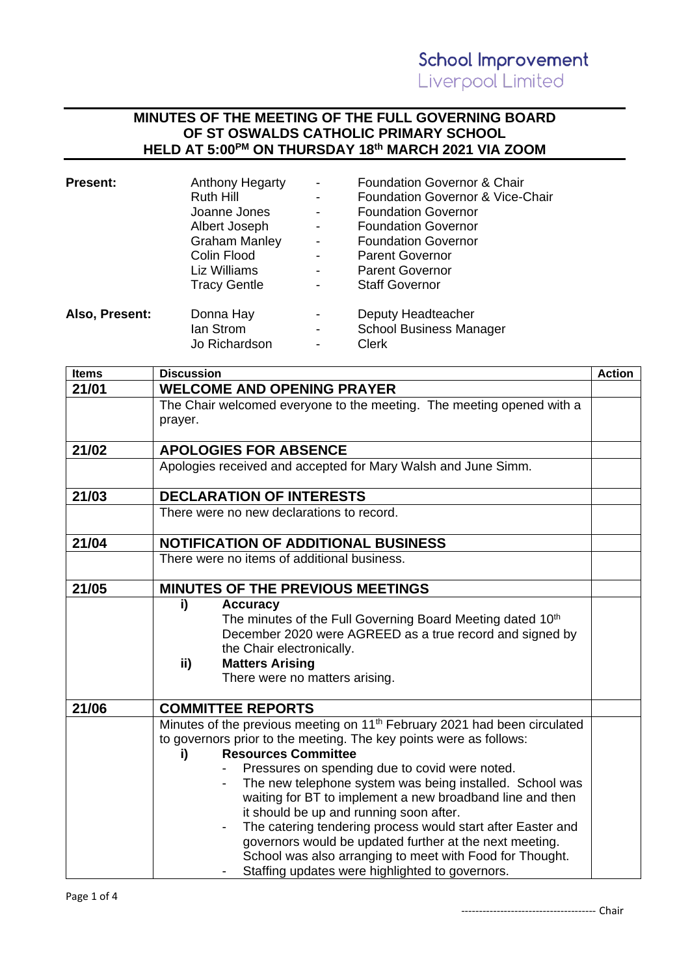## **MINUTES OF THE MEETING OF THE FULL GOVERNING BOARD OF ST OSWALDS CATHOLIC PRIMARY SCHOOL HELD AT 5:00 PM ON THURSDAY 18th MARCH 2021 VIA ZOOM**

| <b>Anthony Hegarty</b> |                          | <b>Foundation Governor &amp; Chair</b> |
|------------------------|--------------------------|----------------------------------------|
| <b>Ruth Hill</b>       | -                        | Foundation Governor & Vice-Chair       |
| Joanne Jones           | -                        | <b>Foundation Governor</b>             |
| Albert Joseph          | -                        | <b>Foundation Governor</b>             |
| <b>Graham Manley</b>   | $\overline{\phantom{a}}$ | <b>Foundation Governor</b>             |
| Colin Flood            | -                        | <b>Parent Governor</b>                 |
| Liz Williams           | -                        | <b>Parent Governor</b>                 |
| <b>Tracy Gentle</b>    | -                        | <b>Staff Governor</b>                  |
| Donna Hay              | -                        | Deputy Headteacher                     |
| lan Strom              | -                        | <b>School Business Manager</b>         |
| Jo Richardson          | -                        | <b>Clerk</b>                           |
|                        |                          |                                        |

| <b>Items</b> | <b>Discussion</b>                                                                                                                                                                                                                                                                                                                                                                                                                                                                                                                                                                                                                                              | <b>Action</b> |
|--------------|----------------------------------------------------------------------------------------------------------------------------------------------------------------------------------------------------------------------------------------------------------------------------------------------------------------------------------------------------------------------------------------------------------------------------------------------------------------------------------------------------------------------------------------------------------------------------------------------------------------------------------------------------------------|---------------|
| 21/01        | <b>WELCOME AND OPENING PRAYER</b>                                                                                                                                                                                                                                                                                                                                                                                                                                                                                                                                                                                                                              |               |
|              | The Chair welcomed everyone to the meeting. The meeting opened with a<br>prayer.                                                                                                                                                                                                                                                                                                                                                                                                                                                                                                                                                                               |               |
| 21/02        | <b>APOLOGIES FOR ABSENCE</b>                                                                                                                                                                                                                                                                                                                                                                                                                                                                                                                                                                                                                                   |               |
|              | Apologies received and accepted for Mary Walsh and June Simm.                                                                                                                                                                                                                                                                                                                                                                                                                                                                                                                                                                                                  |               |
| 21/03        | <b>DECLARATION OF INTERESTS</b>                                                                                                                                                                                                                                                                                                                                                                                                                                                                                                                                                                                                                                |               |
|              | There were no new declarations to record.                                                                                                                                                                                                                                                                                                                                                                                                                                                                                                                                                                                                                      |               |
| 21/04        | <b>NOTIFICATION OF ADDITIONAL BUSINESS</b>                                                                                                                                                                                                                                                                                                                                                                                                                                                                                                                                                                                                                     |               |
|              | There were no items of additional business.                                                                                                                                                                                                                                                                                                                                                                                                                                                                                                                                                                                                                    |               |
| 21/05        | MINUTES OF THE PREVIOUS MEETINGS                                                                                                                                                                                                                                                                                                                                                                                                                                                                                                                                                                                                                               |               |
|              | i)<br><b>Accuracy</b><br>The minutes of the Full Governing Board Meeting dated 10th<br>December 2020 were AGREED as a true record and signed by<br>the Chair electronically.<br><b>Matters Arising</b><br>ii)<br>There were no matters arising.                                                                                                                                                                                                                                                                                                                                                                                                                |               |
| 21/06        | <b>COMMITTEE REPORTS</b>                                                                                                                                                                                                                                                                                                                                                                                                                                                                                                                                                                                                                                       |               |
|              | Minutes of the previous meeting on 11 <sup>th</sup> February 2021 had been circulated<br>to governors prior to the meeting. The key points were as follows:<br><b>Resources Committee</b><br>i)<br>Pressures on spending due to covid were noted.<br>The new telephone system was being installed. School was<br>waiting for BT to implement a new broadband line and then<br>it should be up and running soon after.<br>The catering tendering process would start after Easter and<br>governors would be updated further at the next meeting.<br>School was also arranging to meet with Food for Thought.<br>Staffing updates were highlighted to governors. |               |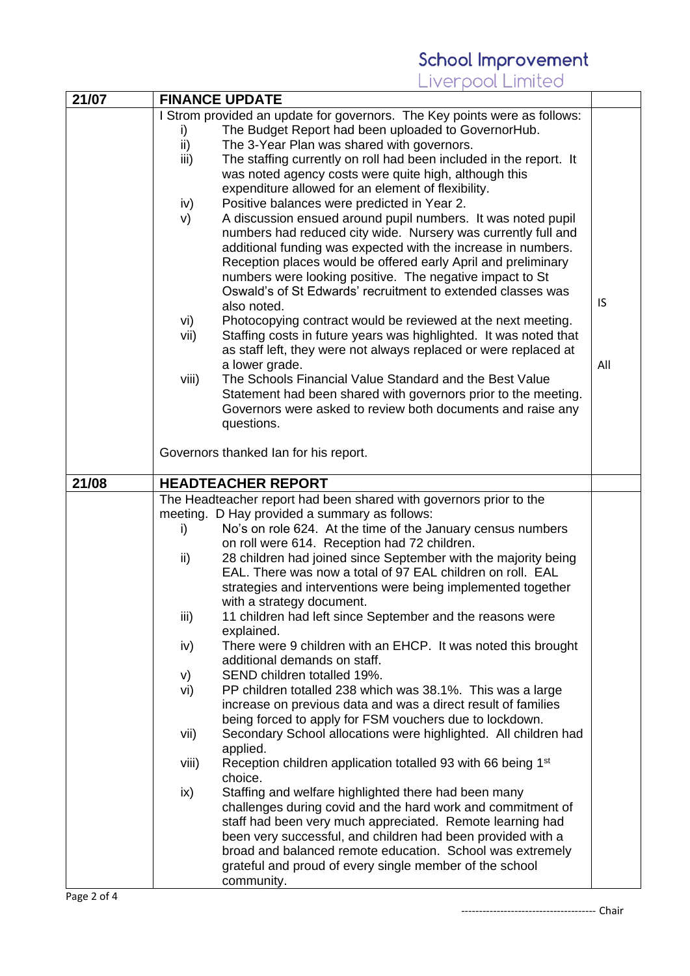## School Improvement<br>Liverpool Limited

| 21/07 |       | <b>FINANCE UPDATE</b>                                                     |           |
|-------|-------|---------------------------------------------------------------------------|-----------|
|       |       | I Strom provided an update for governors. The Key points were as follows: |           |
|       | i)    | The Budget Report had been uploaded to GovernorHub.                       |           |
|       | ii)   | The 3-Year Plan was shared with governors.                                |           |
|       | iii)  | The staffing currently on roll had been included in the report. It        |           |
|       |       | was noted agency costs were quite high, although this                     |           |
|       |       | expenditure allowed for an element of flexibility.                        |           |
|       | iv)   | Positive balances were predicted in Year 2.                               |           |
|       |       |                                                                           |           |
|       | V)    | A discussion ensued around pupil numbers. It was noted pupil              |           |
|       |       | numbers had reduced city wide. Nursery was currently full and             |           |
|       |       | additional funding was expected with the increase in numbers.             |           |
|       |       | Reception places would be offered early April and preliminary             |           |
|       |       | numbers were looking positive. The negative impact to St                  |           |
|       |       | Oswald's of St Edwards' recruitment to extended classes was               |           |
|       |       | also noted.                                                               | <b>IS</b> |
|       | vi)   | Photocopying contract would be reviewed at the next meeting.              |           |
|       | vii)  | Staffing costs in future years was highlighted. It was noted that         |           |
|       |       | as staff left, they were not always replaced or were replaced at          |           |
|       |       | a lower grade.                                                            | All       |
|       | viii) | The Schools Financial Value Standard and the Best Value                   |           |
|       |       | Statement had been shared with governors prior to the meeting.            |           |
|       |       | Governors were asked to review both documents and raise any               |           |
|       |       | questions.                                                                |           |
|       |       |                                                                           |           |
|       |       | Governors thanked Ian for his report.                                     |           |
|       |       |                                                                           |           |
| 21/08 |       | <b>HEADTEACHER REPORT</b>                                                 |           |
|       |       |                                                                           |           |
|       |       |                                                                           |           |
|       |       | The Headteacher report had been shared with governors prior to the        |           |
|       |       | meeting. D Hay provided a summary as follows:                             |           |
|       | i)    | No's on role 624. At the time of the January census numbers               |           |
|       |       | on roll were 614. Reception had 72 children.                              |           |
|       | ii)   | 28 children had joined since September with the majority being            |           |
|       |       | EAL. There was now a total of 97 EAL children on roll. EAL                |           |
|       |       | strategies and interventions were being implemented together              |           |
|       |       | with a strategy document.                                                 |           |
|       | iii)  | 11 children had left since September and the reasons were                 |           |
|       |       | explained.                                                                |           |
|       | iv)   | There were 9 children with an EHCP. It was noted this brought             |           |
|       |       | additional demands on staff.                                              |           |
|       | V)    | SEND children totalled 19%.                                               |           |
|       | vi)   | PP children totalled 238 which was 38.1%. This was a large                |           |
|       |       | increase on previous data and was a direct result of families             |           |
|       |       | being forced to apply for FSM vouchers due to lockdown.                   |           |
|       | vii)  | Secondary School allocations were highlighted. All children had           |           |
|       |       | applied.                                                                  |           |
|       | viii) | Reception children application totalled 93 with 66 being 1 <sup>st</sup>  |           |
|       |       | choice.                                                                   |           |
|       |       | Staffing and welfare highlighted there had been many                      |           |
|       | ix)   |                                                                           |           |
|       |       | challenges during covid and the hard work and commitment of               |           |
|       |       | staff had been very much appreciated. Remote learning had                 |           |
|       |       | been very successful, and children had been provided with a               |           |
|       |       | broad and balanced remote education. School was extremely                 |           |
|       |       | grateful and proud of every single member of the school<br>community.     |           |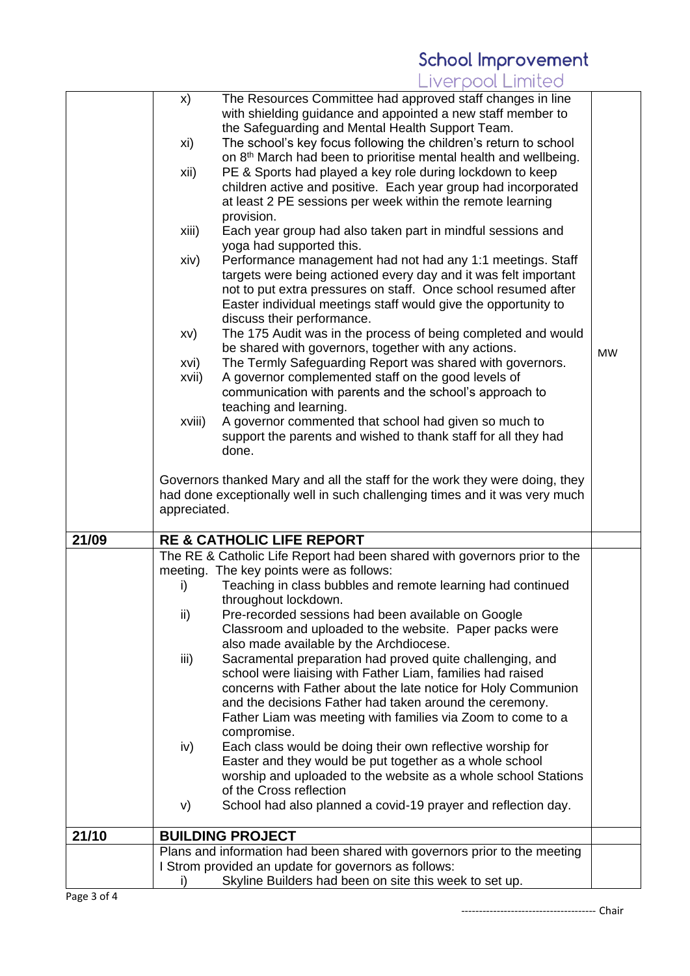## School Improvement<br>Liverpool Limited

|       | x)           | The Resources Committee had approved staff changes in line                                                                        |           |
|-------|--------------|-----------------------------------------------------------------------------------------------------------------------------------|-----------|
|       |              | with shielding guidance and appointed a new staff member to                                                                       |           |
|       |              | the Safeguarding and Mental Health Support Team.                                                                                  |           |
|       | xi)          | The school's key focus following the children's return to school                                                                  |           |
|       |              | on 8 <sup>th</sup> March had been to prioritise mental health and wellbeing.                                                      |           |
|       | xii)         | PE & Sports had played a key role during lockdown to keep                                                                         |           |
|       |              | children active and positive. Each year group had incorporated                                                                    |           |
|       |              | at least 2 PE sessions per week within the remote learning                                                                        |           |
|       |              | provision.                                                                                                                        |           |
|       | xiii)        | Each year group had also taken part in mindful sessions and                                                                       |           |
|       |              | yoga had supported this.                                                                                                          |           |
|       | xiv)         | Performance management had not had any 1:1 meetings. Staff                                                                        |           |
|       |              | targets were being actioned every day and it was felt important                                                                   |           |
|       |              | not to put extra pressures on staff. Once school resumed after                                                                    |           |
|       |              | Easter individual meetings staff would give the opportunity to                                                                    |           |
|       |              | discuss their performance.                                                                                                        |           |
|       | XV)          | The 175 Audit was in the process of being completed and would                                                                     |           |
|       |              | be shared with governors, together with any actions.                                                                              |           |
|       | xvi)         | The Termly Safeguarding Report was shared with governors.                                                                         | <b>MW</b> |
|       |              |                                                                                                                                   |           |
|       | xvii)        | A governor complemented staff on the good levels of                                                                               |           |
|       |              | communication with parents and the school's approach to                                                                           |           |
|       |              | teaching and learning.                                                                                                            |           |
|       | xviii)       | A governor commented that school had given so much to                                                                             |           |
|       |              | support the parents and wished to thank staff for all they had                                                                    |           |
|       |              | done.                                                                                                                             |           |
|       |              | Governors thanked Mary and all the staff for the work they were doing, they                                                       |           |
|       |              | had done exceptionally well in such challenging times and it was very much                                                        |           |
|       | appreciated. |                                                                                                                                   |           |
|       |              |                                                                                                                                   |           |
|       |              |                                                                                                                                   |           |
| 21/09 |              | <b>RE &amp; CATHOLIC LIFE REPORT</b>                                                                                              |           |
|       |              |                                                                                                                                   |           |
|       |              | The RE & Catholic Life Report had been shared with governors prior to the                                                         |           |
|       |              | meeting. The key points were as follows:                                                                                          |           |
|       | i)           | Teaching in class bubbles and remote learning had continued                                                                       |           |
|       |              | throughout lockdown.                                                                                                              |           |
|       | ii)          | Pre-recorded sessions had been available on Google                                                                                |           |
|       |              | Classroom and uploaded to the website. Paper packs were                                                                           |           |
|       |              | also made available by the Archdiocese.                                                                                           |           |
|       | iii)         | Sacramental preparation had proved quite challenging, and                                                                         |           |
|       |              | school were liaising with Father Liam, families had raised                                                                        |           |
|       |              | concerns with Father about the late notice for Holy Communion                                                                     |           |
|       |              | and the decisions Father had taken around the ceremony.                                                                           |           |
|       |              | Father Liam was meeting with families via Zoom to come to a                                                                       |           |
|       |              | compromise.                                                                                                                       |           |
|       | iv)          | Each class would be doing their own reflective worship for                                                                        |           |
|       |              | Easter and they would be put together as a whole school                                                                           |           |
|       |              | worship and uploaded to the website as a whole school Stations                                                                    |           |
|       |              | of the Cross reflection                                                                                                           |           |
|       | V)           | School had also planned a covid-19 prayer and reflection day.                                                                     |           |
|       |              |                                                                                                                                   |           |
| 21/10 |              | <b>BUILDING PROJECT</b>                                                                                                           |           |
|       |              | Plans and information had been shared with governors prior to the meeting<br>I Strom provided an update for governors as follows: |           |